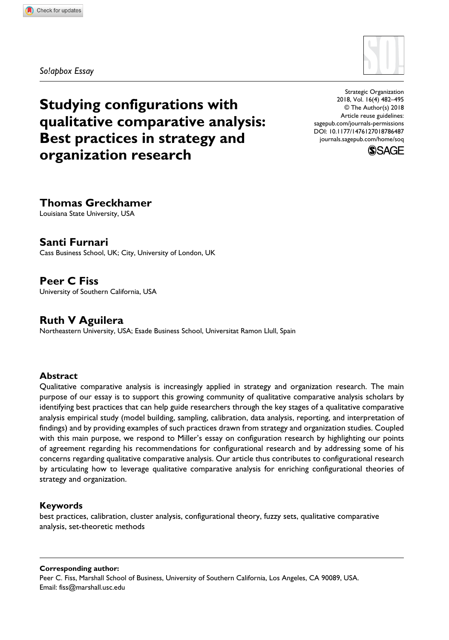*So!apbox Essay*



**Studying configurations with qualitative comparative analysis: Best practices in strategy and organization research**

DOI: 10.1177/1476127018786487 Strategic Organization 2018, Vol. 16(4) 482–495 © The Author(s) 2018 Article reuse guidelines: [sagepub.com/journals-permissions](https://uk.sagepub.com/en-gb/journals-permissions) [journals.sagepub.com/home/soq](https://journals.sagepub.com/home/soq)



# **Thomas Greckhamer**

Louisiana State University, USA

## **Santi Furnari**

Cass Business School, UK; City, University of London, UK

# **Peer C Fiss**

University of Southern California, USA

# **Ruth V Aguilera**

Northeastern University, USA; Esade Business School, Universitat Ramon Llull, Spain

#### **Abstract**

Qualitative comparative analysis is increasingly applied in strategy and organization research. The main purpose of our essay is to support this growing community of qualitative comparative analysis scholars by identifying best practices that can help guide researchers through the key stages of a qualitative comparative analysis empirical study (model building, sampling, calibration, data analysis, reporting, and interpretation of findings) and by providing examples of such practices drawn from strategy and organization studies. Coupled with this main purpose, we respond to Miller's essay on configuration research by highlighting our points of agreement regarding his recommendations for configurational research and by addressing some of his concerns regarding qualitative comparative analysis. Our article thus contributes to configurational research by articulating how to leverage qualitative comparative analysis for enriching configurational theories of strategy and organization.

#### **Keywords**

best practices, calibration, cluster analysis, configurational theory, fuzzy sets, qualitative comparative analysis, set-theoretic methods

#### **Corresponding author:**

Peer C. Fiss, Marshall School of Business, University of Southern California, Los Angeles, CA 90089, USA. Email: [fiss@marshall.usc.edu](mailto:fiss@marshall.usc.edu)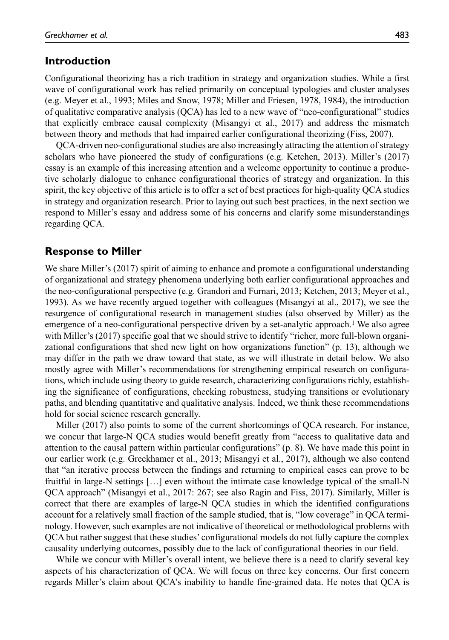# **Introduction**

Configurational theorizing has a rich tradition in strategy and organization studies. While a first wave of configurational work has relied primarily on conceptual typologies and cluster analyses (e.g. Meyer et al., 1993; Miles and Snow, 1978; Miller and Friesen, 1978, 1984), the introduction of qualitative comparative analysis (QCA) has led to a new wave of "neo-configurational" studies that explicitly embrace causal complexity (Misangyi et al., 2017) and address the mismatch between theory and methods that had impaired earlier configurational theorizing (Fiss, 2007).

QCA-driven neo-configurational studies are also increasingly attracting the attention of strategy scholars who have pioneered the study of configurations (e.g. Ketchen, 2013). Miller's (2017) essay is an example of this increasing attention and a welcome opportunity to continue a productive scholarly dialogue to enhance configurational theories of strategy and organization. In this spirit, the key objective of this article is to offer a set of best practices for high-quality QCA studies in strategy and organization research. Prior to laying out such best practices, in the next section we respond to Miller's essay and address some of his concerns and clarify some misunderstandings regarding QCA.

## **Response to Miller**

We share Miller's (2017) spirit of aiming to enhance and promote a configurational understanding of organizational and strategy phenomena underlying both earlier configurational approaches and the neo-configurational perspective (e.g. Grandori and Furnari, 2013; Ketchen, 2013; Meyer et al., 1993). As we have recently argued together with colleagues (Misangyi at al., 2017), we see the resurgence of configurational research in management studies (also observed by Miller) as the emergence of a neo-configurational perspective driven by a set-analytic approach.<sup>1</sup> We also agree with Miller's (2017) specific goal that we should strive to identify "richer, more full-blown organizational configurations that shed new light on how organizations function" (p. 13), although we may differ in the path we draw toward that state, as we will illustrate in detail below. We also mostly agree with Miller's recommendations for strengthening empirical research on configurations, which include using theory to guide research, characterizing configurations richly, establishing the significance of configurations, checking robustness, studying transitions or evolutionary paths, and blending quantitative and qualitative analysis. Indeed, we think these recommendations hold for social science research generally.

Miller (2017) also points to some of the current shortcomings of QCA research. For instance, we concur that large-N QCA studies would benefit greatly from "access to qualitative data and attention to the causal pattern within particular configurations" (p. 8). We have made this point in our earlier work (e.g. Greckhamer et al., 2013; Misangyi et al., 2017), although we also contend that "an iterative process between the findings and returning to empirical cases can prove to be fruitful in large-N settings […] even without the intimate case knowledge typical of the small-N QCA approach" (Misangyi et al., 2017: 267; see also Ragin and Fiss, 2017). Similarly, Miller is correct that there are examples of large-N QCA studies in which the identified configurations account for a relatively small fraction of the sample studied, that is, "low coverage" in QCA terminology. However, such examples are not indicative of theoretical or methodological problems with QCA but rather suggest that these studies' configurational models do not fully capture the complex causality underlying outcomes, possibly due to the lack of configurational theories in our field.

While we concur with Miller's overall intent, we believe there is a need to clarify several key aspects of his characterization of QCA. We will focus on three key concerns. Our first concern regards Miller's claim about QCA's inability to handle fine-grained data. He notes that QCA is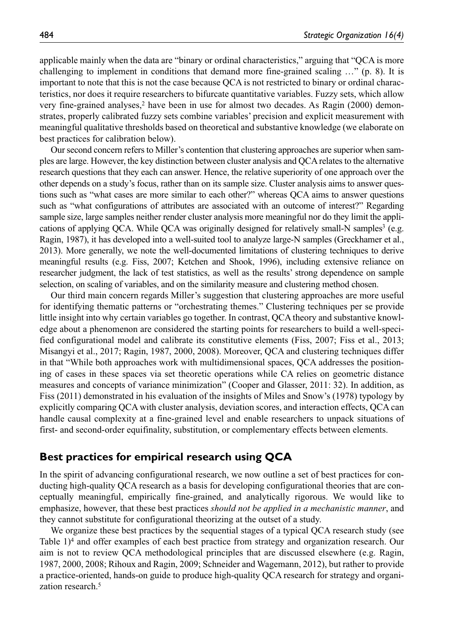applicable mainly when the data are "binary or ordinal characteristics," arguing that "QCA is more challenging to implement in conditions that demand more fine-grained scaling …" (p. 8). It is important to note that this is not the case because QCA is not restricted to binary or ordinal characteristics, nor does it require researchers to bifurcate quantitative variables. Fuzzy sets, which allow very fine-grained analyses,<sup>2</sup> have been in use for almost two decades. As Ragin (2000) demonstrates, properly calibrated fuzzy sets combine variables' precision and explicit measurement with meaningful qualitative thresholds based on theoretical and substantive knowledge (we elaborate on best practices for calibration below).

Our second concern refers to Miller's contention that clustering approaches are superior when samples are large. However, the key distinction between cluster analysis and QCA relates to the alternative research questions that they each can answer. Hence, the relative superiority of one approach over the other depends on a study's focus, rather than on its sample size. Cluster analysis aims to answer questions such as "what cases are more similar to each other?" whereas QCA aims to answer questions such as "what configurations of attributes are associated with an outcome of interest?" Regarding sample size, large samples neither render cluster analysis more meaningful nor do they limit the applications of applying QCA. While QCA was originally designed for relatively small-N samples<sup>3</sup> (e.g. Ragin, 1987), it has developed into a well-suited tool to analyze large-N samples (Greckhamer et al., 2013). More generally, we note the well-documented limitations of clustering techniques to derive meaningful results (e.g. Fiss, 2007; Ketchen and Shook, 1996), including extensive reliance on researcher judgment, the lack of test statistics, as well as the results' strong dependence on sample selection, on scaling of variables, and on the similarity measure and clustering method chosen.

Our third main concern regards Miller's suggestion that clustering approaches are more useful for identifying thematic patterns or "orchestrating themes." Clustering techniques per se provide little insight into why certain variables go together. In contrast, QCA theory and substantive knowledge about a phenomenon are considered the starting points for researchers to build a well-specified configurational model and calibrate its constitutive elements (Fiss, 2007; Fiss et al., 2013; Misangyi et al., 2017; Ragin, 1987, 2000, 2008). Moreover, QCA and clustering techniques differ in that "While both approaches work with multidimensional spaces, QCA addresses the positioning of cases in these spaces via set theoretic operations while CA relies on geometric distance measures and concepts of variance minimization" (Cooper and Glasser, 2011: 32). In addition, as Fiss (2011) demonstrated in his evaluation of the insights of Miles and Snow's (1978) typology by explicitly comparing QCA with cluster analysis, deviation scores, and interaction effects, QCA can handle causal complexity at a fine-grained level and enable researchers to unpack situations of first- and second-order equifinality, substitution, or complementary effects between elements.

# **Best practices for empirical research using QCA**

In the spirit of advancing configurational research, we now outline a set of best practices for conducting high-quality QCA research as a basis for developing configurational theories that are conceptually meaningful, empirically fine-grained, and analytically rigorous. We would like to emphasize, however, that these best practices *should not be applied in a mechanistic manner*, and they cannot substitute for configurational theorizing at the outset of a study.

We organize these best practices by the sequential stages of a typical QCA research study (see Table 1)<sup>4</sup> and offer examples of each best practice from strategy and organization research. Our aim is not to review QCA methodological principles that are discussed elsewhere (e.g. Ragin, 1987, 2000, 2008; Rihoux and Ragin, 2009; Schneider and Wagemann, 2012), but rather to provide a practice-oriented, hands-on guide to produce high-quality QCA research for strategy and organization research.<sup>5</sup>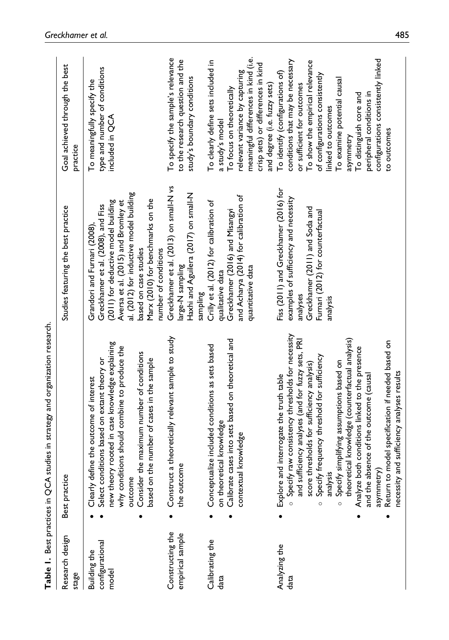| Table 1. Best practices in QCA           | studies in strategy and organization research.                                                                                                                                                                                                                                                                                                                                                                                                                                                                                                                                                          |                                                                                                                                                                                                                                                                                   |                                                                                                                                                                                                                                                                                                                                                      |
|------------------------------------------|---------------------------------------------------------------------------------------------------------------------------------------------------------------------------------------------------------------------------------------------------------------------------------------------------------------------------------------------------------------------------------------------------------------------------------------------------------------------------------------------------------------------------------------------------------------------------------------------------------|-----------------------------------------------------------------------------------------------------------------------------------------------------------------------------------------------------------------------------------------------------------------------------------|------------------------------------------------------------------------------------------------------------------------------------------------------------------------------------------------------------------------------------------------------------------------------------------------------------------------------------------------------|
| Research design<br>stage                 | Best practice                                                                                                                                                                                                                                                                                                                                                                                                                                                                                                                                                                                           | Studies featuring the best practice                                                                                                                                                                                                                                               | Goal achieved through the best<br>practice                                                                                                                                                                                                                                                                                                           |
| configurational<br>Building the<br>model | new theory rooted in case knowledge explaining<br>why conditions should combine to produce the<br>the maximum number of conditions<br>Select conditions based on extant theory or<br>the number of cases in the sample<br>Clearly define the outcome of interest<br>outcome<br>Consider<br>based on                                                                                                                                                                                                                                                                                                     | al. (2012) for inductive model building<br>Marx (2010) for benchmarks on the<br>(2011) for deductive model building<br>Aversa et al. (2015) and Bromley et<br>Greckhamer et al. (2008), and Fiss<br>Grandori and Furnari (2008),<br>based on case studies<br>number of conditions | type and number of conditions<br>To meaningfully specify the<br>included in QCA                                                                                                                                                                                                                                                                      |
| Constructing the<br>empirical sample     | Construct a theoretically relevant sample to study<br>the outcome                                                                                                                                                                                                                                                                                                                                                                                                                                                                                                                                       | Greckhamer et al. (2013) on small-N vs<br>Haxhi and Aguilera (2017) on small-N<br>large-N sampling<br>sampling                                                                                                                                                                    | To specify the sample's relevance<br>to the research question and the<br>study's boundary conditions                                                                                                                                                                                                                                                 |
| Calibrating the<br>data                  | Calibrate cases into sets based on theoretical and<br>Conceptualize included conditions as sets based<br>on theoretical knowledge<br>contextual knowledge                                                                                                                                                                                                                                                                                                                                                                                                                                               | and Acharya (2014) for calibration of<br>Crilly et al. (2012) for calibration of<br>Greckhamer (2016) and Misangyi<br>quantitative data<br>qualitative data                                                                                                                       | meaningful differences in kind (i.e.<br>To clearly define sets included in<br>crisp sets) or differences in kind<br>relevant variance by capturing<br>and degree (i.e. fuzzy sets)<br>To focus on theoretically<br>a study's model                                                                                                                   |
| Analyzing the<br>යි<br>පි                | o Specify raw consistency thresholds for necessity<br>theoretical knowledge (counterfactual analysis)<br>and sufficiency analyses (and for fuzzy sets, PRI<br>Return to model specification if needed based on<br>Analyze both conditions linked to the presence<br>Specify frequency threshold for sufficiency<br>simplifying assumptions based on<br>thresholds for sufficiency analysis)<br>and sufficiency analyses results<br>and the absence of the outcome (causal<br>Explore and interrogate the truth table<br>asymmetry)<br>analysis<br>Specify<br>score t<br>necessity<br>$\circ$<br>$\circ$ | Fiss (2011) and Greckhamer (2016) for<br>examples of sufficiency and necessity<br>Greckhamer (2011) and Soda and<br>Furnari (2012) for counterfactual<br>analyses<br>analysis                                                                                                     | conditions that may be necessary<br>configurations consistently linked<br>To show the empirical relevance<br>To identify (configurations of)<br>of configurations consistently<br>To examine potential causal<br>or sufficient for outcomes<br>peripheral conditions in<br>To distinguish core and<br>linked to outcomes<br>to outcomes<br>asymmetry |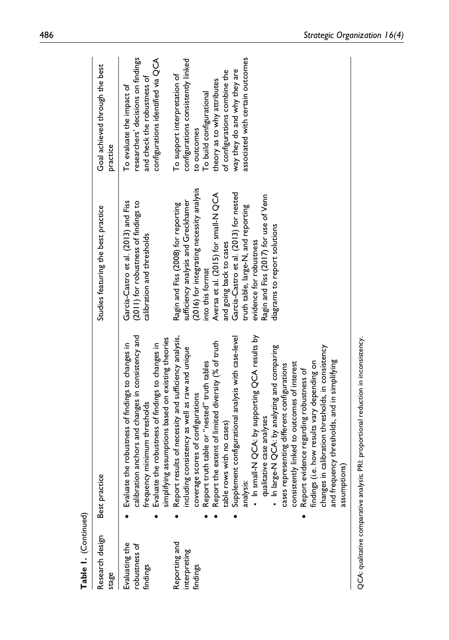| Table I. (Continued)                        |                                                                                                                                                                                                                                                                                                                                                                                                                                                                                                                                                                                                                                                                                                                                                                                                       |                                                                                                                                                                                                                                                                                                                                                                                                     |                                                                                                                                                                                                                                                   |
|---------------------------------------------|-------------------------------------------------------------------------------------------------------------------------------------------------------------------------------------------------------------------------------------------------------------------------------------------------------------------------------------------------------------------------------------------------------------------------------------------------------------------------------------------------------------------------------------------------------------------------------------------------------------------------------------------------------------------------------------------------------------------------------------------------------------------------------------------------------|-----------------------------------------------------------------------------------------------------------------------------------------------------------------------------------------------------------------------------------------------------------------------------------------------------------------------------------------------------------------------------------------------------|---------------------------------------------------------------------------------------------------------------------------------------------------------------------------------------------------------------------------------------------------|
| Research design<br>stage                    | Best practice                                                                                                                                                                                                                                                                                                                                                                                                                                                                                                                                                                                                                                                                                                                                                                                         | Studies featuring the best practice                                                                                                                                                                                                                                                                                                                                                                 | Goal achieved through the best<br>practice                                                                                                                                                                                                        |
| Evaluating the<br>robustness of<br>findings | calibration anchors and changes in consistency and<br>simplifying assumptions based on existing theories<br>Evaluate the robustness of findings to changes in<br>the robustness of findings to changes in<br>frequency minimum thresholds<br>Evaluate t                                                                                                                                                                                                                                                                                                                                                                                                                                                                                                                                               | Garcia-Castro et al. (2013) and Fiss<br>(2011) for robustness of findings to<br>calibration and thresholds                                                                                                                                                                                                                                                                                          | researchers' decisions on findings<br>configurations identified via QCA<br>and check the robustness of<br>To evaluate the impact of                                                                                                               |
| Reporting and<br>interpreting<br>findings   | In small-N QCA: by supporting QCA results by<br>Report results of necessity and sufficiency analysis,<br>Supplement configurational analysis with case-level<br>Report the extent of limited diversity (% of truth<br>In large-N QCA: by analyzing and comparing<br>n calibration thresholds, in consistency<br>including consistency as well as raw and unique<br>and frequency thresholds, and in simplifying<br>Report truth table or "nested" truth tables<br>e. how results vary depending on<br>consistently linked to outcomes of interest<br>cases representing different configurations<br>Report evidence regarding robustness of<br>coverage scores of configurations<br>qualitative case analyses<br>table rows with no cases)<br>assumptions)<br>findings (i.<br>changes ir<br>analysis: | (2016) for integrating necessity analysis<br>Garcia-Castro et al. (2013) for nested<br>Aversa et al. (2015) for small-N QCA<br>Ragin and Fiss (2017) for use of Venn<br>sufficiency analysis and Greckhamer<br>Ragin and Fiss (2008) for reporting<br>truth table, large-N, and reporting<br>diagrams to report solutions<br>evidence for robustness<br>and going back to cases<br>into this format | associated with certain outcomes<br>configurations consistently linked<br>way they do and why they are<br>of configurations combine the<br>To support interpretation of<br>theory as to why attributes<br>To build configurational<br>to outcomes |
|                                             | QCA: qualitative comparative analysis; PRI: proportional reduction in inconsistency.                                                                                                                                                                                                                                                                                                                                                                                                                                                                                                                                                                                                                                                                                                                  |                                                                                                                                                                                                                                                                                                                                                                                                     |                                                                                                                                                                                                                                                   |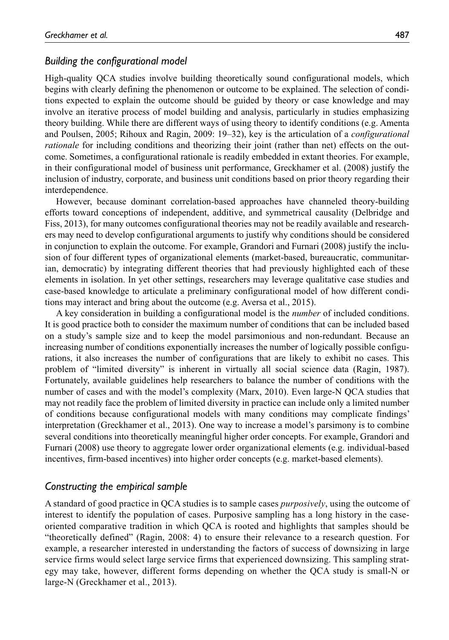## *Building the configurational model*

High-quality QCA studies involve building theoretically sound configurational models, which begins with clearly defining the phenomenon or outcome to be explained. The selection of conditions expected to explain the outcome should be guided by theory or case knowledge and may involve an iterative process of model building and analysis, particularly in studies emphasizing theory building. While there are different ways of using theory to identify conditions (e.g. Amenta and Poulsen, 2005; Rihoux and Ragin, 2009: 19–32), key is the articulation of a *configurational rationale* for including conditions and theorizing their joint (rather than net) effects on the outcome. Sometimes, a configurational rationale is readily embedded in extant theories. For example, in their configurational model of business unit performance, Greckhamer et al. (2008) justify the inclusion of industry, corporate, and business unit conditions based on prior theory regarding their interdependence.

However, because dominant correlation-based approaches have channeled theory-building efforts toward conceptions of independent, additive, and symmetrical causality (Delbridge and Fiss, 2013), for many outcomes configurational theories may not be readily available and researchers may need to develop configurational arguments to justify why conditions should be considered in conjunction to explain the outcome. For example, Grandori and Furnari (2008) justify the inclusion of four different types of organizational elements (market-based, bureaucratic, communitarian, democratic) by integrating different theories that had previously highlighted each of these elements in isolation. In yet other settings, researchers may leverage qualitative case studies and case-based knowledge to articulate a preliminary configurational model of how different conditions may interact and bring about the outcome (e.g. Aversa et al., 2015).

A key consideration in building a configurational model is the *number* of included conditions. It is good practice both to consider the maximum number of conditions that can be included based on a study's sample size and to keep the model parsimonious and non-redundant. Because an increasing number of conditions exponentially increases the number of logically possible configurations, it also increases the number of configurations that are likely to exhibit no cases. This problem of "limited diversity" is inherent in virtually all social science data (Ragin, 1987). Fortunately, available guidelines help researchers to balance the number of conditions with the number of cases and with the model's complexity (Marx, 2010). Even large-N QCA studies that may not readily face the problem of limited diversity in practice can include only a limited number of conditions because configurational models with many conditions may complicate findings' interpretation (Greckhamer et al., 2013). One way to increase a model's parsimony is to combine several conditions into theoretically meaningful higher order concepts. For example, Grandori and Furnari (2008) use theory to aggregate lower order organizational elements (e.g. individual-based incentives, firm-based incentives) into higher order concepts (e.g. market-based elements).

## *Constructing the empirical sample*

A standard of good practice in QCA studies is to sample cases *purposively*, using the outcome of interest to identify the population of cases. Purposive sampling has a long history in the caseoriented comparative tradition in which QCA is rooted and highlights that samples should be "theoretically defined" (Ragin, 2008: 4) to ensure their relevance to a research question. For example, a researcher interested in understanding the factors of success of downsizing in large service firms would select large service firms that experienced downsizing. This sampling strategy may take, however, different forms depending on whether the QCA study is small-N or large-N (Greckhamer et al., 2013).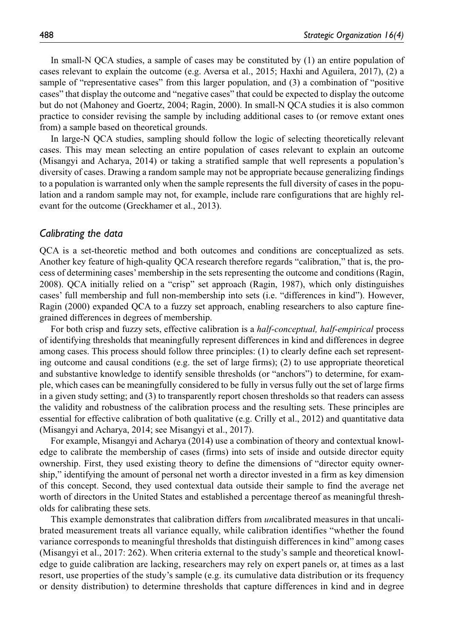In small-N QCA studies, a sample of cases may be constituted by (1) an entire population of cases relevant to explain the outcome (e.g. Aversa et al., 2015; Haxhi and Aguilera, 2017), (2) a sample of "representative cases" from this larger population, and (3) a combination of "positive cases" that display the outcome and "negative cases" that could be expected to display the outcome but do not (Mahoney and Goertz, 2004; Ragin, 2000). In small-N QCA studies it is also common practice to consider revising the sample by including additional cases to (or remove extant ones from) a sample based on theoretical grounds.

In large-N QCA studies, sampling should follow the logic of selecting theoretically relevant cases. This may mean selecting an entire population of cases relevant to explain an outcome (Misangyi and Acharya, 2014) or taking a stratified sample that well represents a population's diversity of cases. Drawing a random sample may not be appropriate because generalizing findings to a population is warranted only when the sample represents the full diversity of cases in the population and a random sample may not, for example, include rare configurations that are highly relevant for the outcome (Greckhamer et al., 2013).

## *Calibrating the data*

QCA is a set-theoretic method and both outcomes and conditions are conceptualized as sets. Another key feature of high-quality QCA research therefore regards "calibration," that is, the process of determining cases' membership in the sets representing the outcome and conditions (Ragin, 2008). QCA initially relied on a "crisp" set approach (Ragin, 1987), which only distinguishes cases' full membership and full non-membership into sets (i.e. "differences in kind"). However, Ragin (2000) expanded QCA to a fuzzy set approach, enabling researchers to also capture finegrained differences in degrees of membership.

For both crisp and fuzzy sets, effective calibration is a *half-conceptual, half-empirical* process of identifying thresholds that meaningfully represent differences in kind and differences in degree among cases. This process should follow three principles: (1) to clearly define each set representing outcome and causal conditions (e.g. the set of large firms); (2) to use appropriate theoretical and substantive knowledge to identify sensible thresholds (or "anchors") to determine, for example, which cases can be meaningfully considered to be fully in versus fully out the set of large firms in a given study setting; and (3) to transparently report chosen thresholds so that readers can assess the validity and robustness of the calibration process and the resulting sets. These principles are essential for effective calibration of both qualitative (e.g. Crilly et al., 2012) and quantitative data (Misangyi and Acharya, 2014; see Misangyi et al., 2017).

For example, Misangyi and Acharya (2014) use a combination of theory and contextual knowledge to calibrate the membership of cases (firms) into sets of inside and outside director equity ownership. First, they used existing theory to define the dimensions of "director equity ownership," identifying the amount of personal net worth a director invested in a firm as key dimension of this concept. Second, they used contextual data outside their sample to find the average net worth of directors in the United States and established a percentage thereof as meaningful thresholds for calibrating these sets.

This example demonstrates that calibration differs from *un*calibrated measures in that uncalibrated measurement treats all variance equally, while calibration identifies "whether the found variance corresponds to meaningful thresholds that distinguish differences in kind" among cases (Misangyi et al., 2017: 262). When criteria external to the study's sample and theoretical knowledge to guide calibration are lacking, researchers may rely on expert panels or, at times as a last resort, use properties of the study's sample (e.g. its cumulative data distribution or its frequency or density distribution) to determine thresholds that capture differences in kind and in degree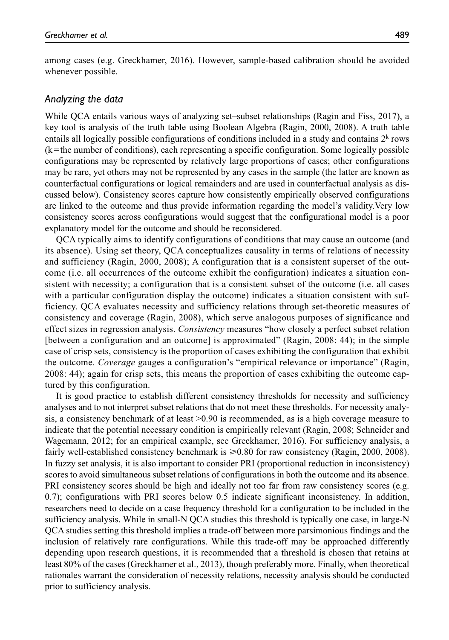among cases (e.g. Greckhamer, 2016). However, sample-based calibration should be avoided whenever possible.

#### *Analyzing the data*

While QCA entails various ways of analyzing set–subset relationships (Ragin and Fiss, 2017), a key tool is analysis of the truth table using Boolean Algebra (Ragin, 2000, 2008). A truth table entails all logically possible configurations of conditions included in a study and contains  $2<sup>k</sup>$  rows  $(k=$  the number of conditions), each representing a specific configuration. Some logically possible configurations may be represented by relatively large proportions of cases; other configurations may be rare, yet others may not be represented by any cases in the sample (the latter are known as counterfactual configurations or logical remainders and are used in counterfactual analysis as discussed below). Consistency scores capture how consistently empirically observed configurations are linked to the outcome and thus provide information regarding the model's validity.Very low consistency scores across configurations would suggest that the configurational model is a poor explanatory model for the outcome and should be reconsidered.

QCA typically aims to identify configurations of conditions that may cause an outcome (and its absence). Using set theory, QCA conceptualizes causality in terms of relations of necessity and sufficiency (Ragin, 2000, 2008); A configuration that is a consistent superset of the outcome (i.e. all occurrences of the outcome exhibit the configuration) indicates a situation consistent with necessity; a configuration that is a consistent subset of the outcome (i.e. all cases with a particular configuration display the outcome) indicates a situation consistent with sufficiency. QCA evaluates necessity and sufficiency relations through set-theoretic measures of consistency and coverage (Ragin, 2008), which serve analogous purposes of significance and effect sizes in regression analysis. *Consistency* measures "how closely a perfect subset relation [between a configuration and an outcome] is approximated" (Ragin, 2008: 44); in the simple case of crisp sets, consistency is the proportion of cases exhibiting the configuration that exhibit the outcome. *Coverage* gauges a configuration's "empirical relevance or importance" (Ragin, 2008: 44); again for crisp sets, this means the proportion of cases exhibiting the outcome captured by this configuration.

It is good practice to establish different consistency thresholds for necessity and sufficiency analyses and to not interpret subset relations that do not meet these thresholds. For necessity analysis, a consistency benchmark of at least >0.90 is recommended, as is a high coverage measure to indicate that the potential necessary condition is empirically relevant (Ragin, 2008; Schneider and Wagemann, 2012; for an empirical example, see Greckhamer, 2016). For sufficiency analysis, a fairly well-established consistency benchmark is  $\geq 0.80$  for raw consistency (Ragin, 2000, 2008). In fuzzy set analysis, it is also important to consider PRI (proportional reduction in inconsistency) scores to avoid simultaneous subset relations of configurations in both the outcome and its absence. PRI consistency scores should be high and ideally not too far from raw consistency scores (e.g. 0.7); configurations with PRI scores below 0.5 indicate significant inconsistency. In addition, researchers need to decide on a case frequency threshold for a configuration to be included in the sufficiency analysis. While in small-N QCA studies this threshold is typically one case, in large-N QCA studies setting this threshold implies a trade-off between more parsimonious findings and the inclusion of relatively rare configurations. While this trade-off may be approached differently depending upon research questions, it is recommended that a threshold is chosen that retains at least 80% of the cases (Greckhamer et al., 2013), though preferably more. Finally, when theoretical rationales warrant the consideration of necessity relations, necessity analysis should be conducted prior to sufficiency analysis.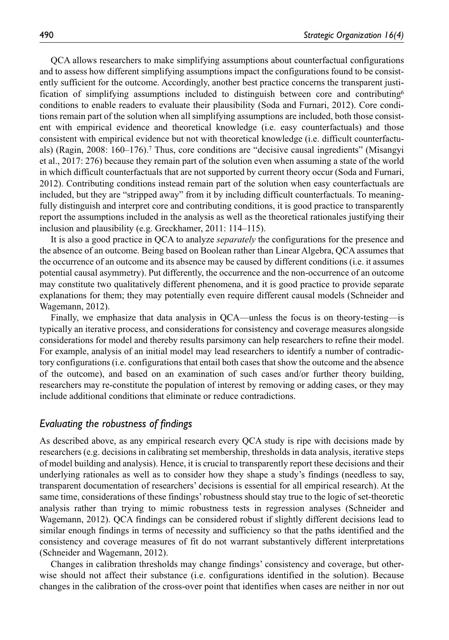QCA allows researchers to make simplifying assumptions about counterfactual configurations and to assess how different simplifying assumptions impact the configurations found to be consistently sufficient for the outcome. Accordingly, another best practice concerns the transparent justification of simplifying assumptions included to distinguish between core and contributing6 conditions to enable readers to evaluate their plausibility (Soda and Furnari, 2012). Core conditions remain part of the solution when all simplifying assumptions are included, both those consistent with empirical evidence and theoretical knowledge (i.e. easy counterfactuals) and those consistent with empirical evidence but not with theoretical knowledge (i.e. difficult counterfactuals) (Ragin, 2008: 160–176).7 Thus, core conditions are "decisive causal ingredients" (Misangyi et al., 2017: 276) because they remain part of the solution even when assuming a state of the world in which difficult counterfactuals that are not supported by current theory occur (Soda and Furnari, 2012). Contributing conditions instead remain part of the solution when easy counterfactuals are included, but they are "stripped away" from it by including difficult counterfactuals. To meaningfully distinguish and interpret core and contributing conditions, it is good practice to transparently report the assumptions included in the analysis as well as the theoretical rationales justifying their inclusion and plausibility (e.g. Greckhamer, 2011: 114–115).

It is also a good practice in QCA to analyze *separately* the configurations for the presence and the absence of an outcome. Being based on Boolean rather than Linear Algebra, QCA assumes that the occurrence of an outcome and its absence may be caused by different conditions (i.e. it assumes potential causal asymmetry). Put differently, the occurrence and the non-occurrence of an outcome may constitute two qualitatively different phenomena, and it is good practice to provide separate explanations for them; they may potentially even require different causal models (Schneider and Wagemann, 2012).

Finally, we emphasize that data analysis in QCA—unless the focus is on theory-testing—is typically an iterative process, and considerations for consistency and coverage measures alongside considerations for model and thereby results parsimony can help researchers to refine their model. For example, analysis of an initial model may lead researchers to identify a number of contradictory configurations (i.e. configurations that entail both cases that show the outcome and the absence of the outcome), and based on an examination of such cases and/or further theory building, researchers may re-constitute the population of interest by removing or adding cases, or they may include additional conditions that eliminate or reduce contradictions.

## *Evaluating the robustness of findings*

As described above, as any empirical research every QCA study is ripe with decisions made by researchers (e.g. decisions in calibrating set membership, thresholds in data analysis, iterative steps of model building and analysis). Hence, it is crucial to transparently report these decisions and their underlying rationales as well as to consider how they shape a study's findings (needless to say, transparent documentation of researchers' decisions is essential for all empirical research). At the same time, considerations of these findings' robustness should stay true to the logic of set-theoretic analysis rather than trying to mimic robustness tests in regression analyses (Schneider and Wagemann, 2012). QCA findings can be considered robust if slightly different decisions lead to similar enough findings in terms of necessity and sufficiency so that the paths identified and the consistency and coverage measures of fit do not warrant substantively different interpretations (Schneider and Wagemann, 2012).

Changes in calibration thresholds may change findings' consistency and coverage, but otherwise should not affect their substance (i.e. configurations identified in the solution). Because changes in the calibration of the cross-over point that identifies when cases are neither in nor out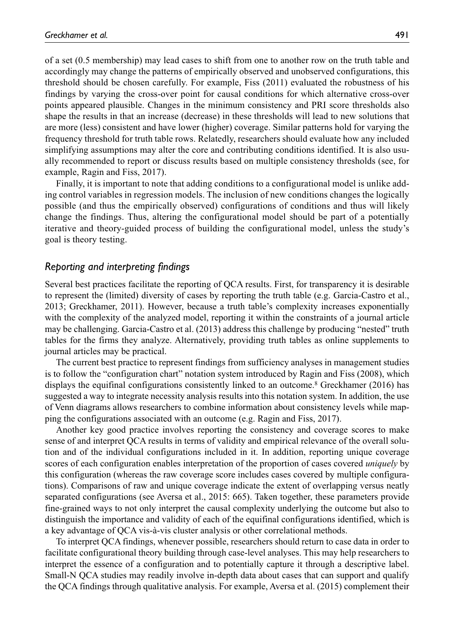of a set (0.5 membership) may lead cases to shift from one to another row on the truth table and accordingly may change the patterns of empirically observed and unobserved configurations, this threshold should be chosen carefully. For example, Fiss (2011) evaluated the robustness of his findings by varying the cross-over point for causal conditions for which alternative cross-over points appeared plausible. Changes in the minimum consistency and PRI score thresholds also shape the results in that an increase (decrease) in these thresholds will lead to new solutions that are more (less) consistent and have lower (higher) coverage. Similar patterns hold for varying the frequency threshold for truth table rows. Relatedly, researchers should evaluate how any included simplifying assumptions may alter the core and contributing conditions identified. It is also usually recommended to report or discuss results based on multiple consistency thresholds (see, for example, Ragin and Fiss, 2017).

Finally, it is important to note that adding conditions to a configurational model is unlike adding control variables in regression models. The inclusion of new conditions changes the logically possible (and thus the empirically observed) configurations of conditions and thus will likely change the findings. Thus, altering the configurational model should be part of a potentially iterative and theory-guided process of building the configurational model, unless the study's goal is theory testing.

## *Reporting and interpreting findings*

Several best practices facilitate the reporting of QCA results. First, for transparency it is desirable to represent the (limited) diversity of cases by reporting the truth table (e.g. Garcia-Castro et al., 2013; Greckhamer, 2011). However, because a truth table's complexity increases exponentially with the complexity of the analyzed model, reporting it within the constraints of a journal article may be challenging. Garcia-Castro et al. (2013) address this challenge by producing "nested" truth tables for the firms they analyze. Alternatively, providing truth tables as online supplements to journal articles may be practical.

The current best practice to represent findings from sufficiency analyses in management studies is to follow the "configuration chart" notation system introduced by Ragin and Fiss (2008), which displays the equifinal configurations consistently linked to an outcome.<sup>8</sup> Greckhamer (2016) has suggested a way to integrate necessity analysis results into this notation system. In addition, the use of Venn diagrams allows researchers to combine information about consistency levels while mapping the configurations associated with an outcome (e.g. Ragin and Fiss, 2017).

Another key good practice involves reporting the consistency and coverage scores to make sense of and interpret QCA results in terms of validity and empirical relevance of the overall solution and of the individual configurations included in it. In addition, reporting unique coverage scores of each configuration enables interpretation of the proportion of cases covered *uniquely* by this configuration (whereas the raw coverage score includes cases covered by multiple configurations). Comparisons of raw and unique coverage indicate the extent of overlapping versus neatly separated configurations (see Aversa et al., 2015: 665). Taken together, these parameters provide fine-grained ways to not only interpret the causal complexity underlying the outcome but also to distinguish the importance and validity of each of the equifinal configurations identified, which is a key advantage of QCA vis-à-vis cluster analysis or other correlational methods.

To interpret QCA findings, whenever possible, researchers should return to case data in order to facilitate configurational theory building through case-level analyses. This may help researchers to interpret the essence of a configuration and to potentially capture it through a descriptive label. Small-N QCA studies may readily involve in-depth data about cases that can support and qualify the QCA findings through qualitative analysis. For example, Aversa et al. (2015) complement their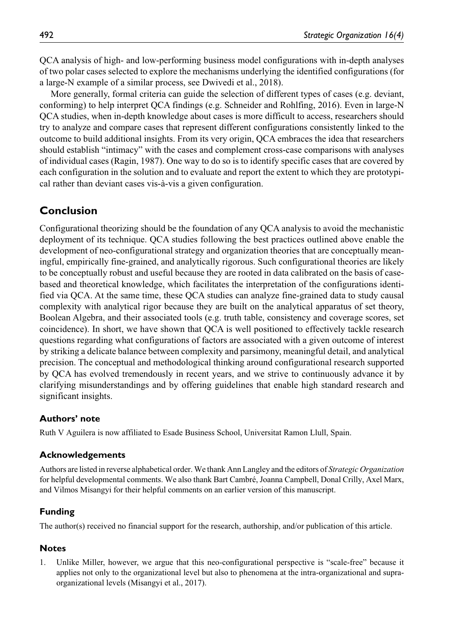QCA analysis of high- and low-performing business model configurations with in-depth analyses of two polar cases selected to explore the mechanisms underlying the identified configurations (for a large-N example of a similar process, see Dwivedi et al., 2018).

More generally, formal criteria can guide the selection of different types of cases (e.g. deviant, conforming) to help interpret QCA findings (e.g. Schneider and Rohlfing, 2016). Even in large-N QCA studies, when in-depth knowledge about cases is more difficult to access, researchers should try to analyze and compare cases that represent different configurations consistently linked to the outcome to build additional insights. From its very origin, QCA embraces the idea that researchers should establish "intimacy" with the cases and complement cross-case comparisons with analyses of individual cases (Ragin, 1987). One way to do so is to identify specific cases that are covered by each configuration in the solution and to evaluate and report the extent to which they are prototypical rather than deviant cases vis-à-vis a given configuration.

# **Conclusion**

Configurational theorizing should be the foundation of any QCA analysis to avoid the mechanistic deployment of its technique. QCA studies following the best practices outlined above enable the development of neo-configurational strategy and organization theories that are conceptually meaningful, empirically fine-grained, and analytically rigorous. Such configurational theories are likely to be conceptually robust and useful because they are rooted in data calibrated on the basis of casebased and theoretical knowledge, which facilitates the interpretation of the configurations identified via QCA. At the same time, these QCA studies can analyze fine-grained data to study causal complexity with analytical rigor because they are built on the analytical apparatus of set theory, Boolean Algebra, and their associated tools (e.g. truth table, consistency and coverage scores, set coincidence). In short, we have shown that QCA is well positioned to effectively tackle research questions regarding what configurations of factors are associated with a given outcome of interest by striking a delicate balance between complexity and parsimony, meaningful detail, and analytical precision. The conceptual and methodological thinking around configurational research supported by QCA has evolved tremendously in recent years, and we strive to continuously advance it by clarifying misunderstandings and by offering guidelines that enable high standard research and significant insights.

# **Authors' note**

Ruth V Aguilera is now affiliated to Esade Business School, Universitat Ramon Llull, Spain.

## **Acknowledgements**

Authors are listed in reverse alphabetical order. We thank Ann Langley and the editors of *Strategic Organization* for helpful developmental comments. We also thank Bart Cambré, Joanna Campbell, Donal Crilly, Axel Marx, and Vilmos Misangyi for their helpful comments on an earlier version of this manuscript.

# **Funding**

The author(s) received no financial support for the research, authorship, and/or publication of this article.

## **Notes**

1. Unlike Miller, however, we argue that this neo-configurational perspective is "scale-free" because it applies not only to the organizational level but also to phenomena at the intra-organizational and supraorganizational levels (Misangyi et al., 2017).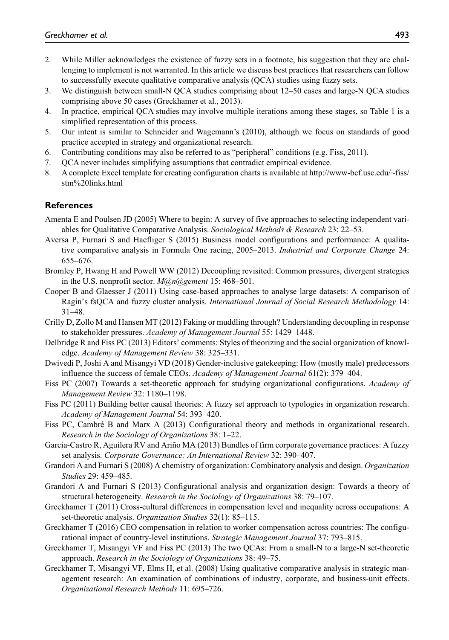- 2. While Miller acknowledges the existence of fuzzy sets in a footnote, his suggestion that they are challenging to implement is not warranted. In this article we discuss best practices that researchers can follow to successfully execute qualitative comparative analysis (QCA) studies using fuzzy sets.
- 3. We distinguish between small-N QCA studies comprising about 12–50 cases and large-N QCA studies comprising above 50 cases (Greckhamer et al., 2013).
- 4. In practice, empirical QCA studies may involve multiple iterations among these stages, so Table 1 is a simplified representation of this process.
- 5. Our intent is similar to Schneider and Wagemann's (2010), although we focus on standards of good practice accepted in strategy and organizational research.
- 6. Contributing conditions may also be referred to as "peripheral" conditions (e.g. Fiss, 2011).
- 7. QCA never includes simplifying assumptions that contradict empirical evidence.
- 8. A complete Excel template for creating configuration charts is available at [http://www-bcf.usc.edu/~fiss/](http://www-bcf.usc.edu/~fiss/stm%20links.html) [stm%20links.html](http://www-bcf.usc.edu/~fiss/stm%20links.html)

# **References**

- Amenta E and Poulsen JD (2005) Where to begin: A survey of five approaches to selecting independent variables for Qualitative Comparative Analysis. *Sociological Methods & Research* 23: 22–53.
- Aversa P, Furnari S and Haefliger S (2015) Business model configurations and performance: A qualitative comparative analysis in Formula One racing, 2005–2013. *Industrial and Corporate Change* 24: 655–676.
- Bromley P, Hwang H and Powell WW (2012) Decoupling revisited: Common pressures, divergent strategies in the U.S. nonprofit sector. *M@n@gement* 15: 468–501.
- Cooper B and Glaesser J (2011) Using case-based approaches to analyse large datasets: A comparison of Ragin's fsQCA and fuzzy cluster analysis. *International Journal of Social Research Methodology* 14: 31–48.
- Crilly D, Zollo M and Hansen MT (2012) Faking or muddling through? Understanding decoupling in response to stakeholder pressures. *Academy of Management Journal* 55: 1429–1448.
- Delbridge R and Fiss PC (2013) Editors' comments: Styles of theorizing and the social organization of knowledge. *Academy of Management Review* 38: 325–331.
- Dwivedi P, Joshi A and Misangyi VD (2018) Gender-inclusive gatekeeping: How (mostly male) predecessors influence the success of female CEOs. *Academy of Management Journal* 61(2): 379–404.
- Fiss PC (2007) Towards a set-theoretic approach for studying organizational configurations. *Academy of Management Review* 32: 1180–1198.
- Fiss PC (2011) Building better causal theories: A fuzzy set approach to typologies in organization research. *Academy of Management Journal* 54: 393–420.
- Fiss PC, Cambré B and Marx A (2013) Configurational theory and methods in organizational research. *Research in the Sociology of Organizations* 38: 1–22.
- Garcia-Castro R, Aguilera RV and Ariño MA (2013) Bundles of firm corporate governance practices: A fuzzy set analysis. *Corporate Governance: An International Review* 32: 390–407.
- Grandori A and Furnari S (2008) A chemistry of organization: Combinatory analysis and design. *Organization Studies* 29: 459–485.
- Grandori A and Furnari S (2013) Configurational analysis and organization design: Towards a theory of structural heterogeneity. *Research in the Sociology of Organizations* 38: 79–107.
- Greckhamer T (2011) Cross-cultural differences in compensation level and inequality across occupations: A set-theoretic analysis. *Organization Studies* 32(1): 85–115.
- Greckhamer T (2016) CEO compensation in relation to worker compensation across countries: The configurational impact of country-level institutions. *Strategic Management Journal* 37: 793–815.
- Greckhamer T, Misangyi VF and Fiss PC (2013) The two QCAs: From a small-N to a large-N set-theoretic approach. *Research in the Sociology of Organizations* 38: 49–75.
- Greckhamer T, Misangyi VF, Elms H, et al. (2008) Using qualitative comparative analysis in strategic management research: An examination of combinations of industry, corporate, and business-unit effects. *Organizational Research Methods* 11: 695–726.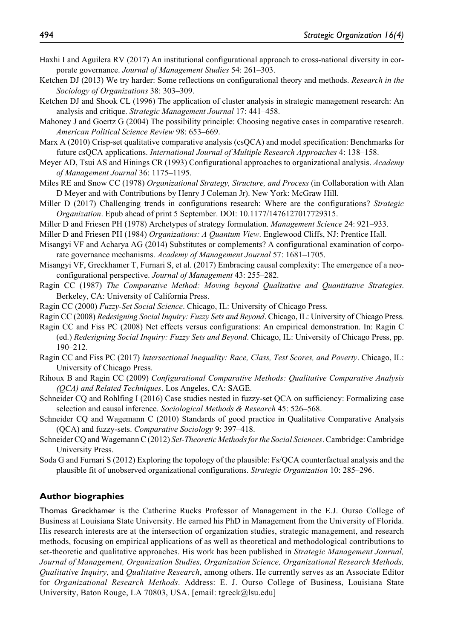- Haxhi I and Aguilera RV (2017) An institutional configurational approach to cross-national diversity in corporate governance. *Journal of Management Studies* 54: 261–303.
- Ketchen DJ (2013) We try harder: Some reflections on configurational theory and methods. *Research in the Sociology of Organizations* 38: 303–309.
- Ketchen DJ and Shook CL (1996) The application of cluster analysis in strategic management research: An analysis and critique. *Strategic Management Journal* 17: 441–458.
- Mahoney J and Goertz G (2004) The possibility principle: Choosing negative cases in comparative research. *American Political Science Review* 98: 653–669.
- Marx A (2010) Crisp-set qualitative comparative analysis (csQCA) and model specification: Benchmarks for future csQCA applications. *International Journal of Multiple Research Approaches* 4: 138–158.
- Meyer AD, Tsui AS and Hinings CR (1993) Configurational approaches to organizational analysis. *Academy of Management Journal* 36: 1175–1195.
- Miles RE and Snow CC (1978) *Organizational Strategy, Structure, and Process* (in Collaboration with Alan D Meyer and with Contributions by Henry J Coleman Jr). New York: McGraw Hill.
- Miller D (2017) Challenging trends in configurations research: Where are the configurations? *Strategic Organization*. Epub ahead of print 5 September. DOI: 10.1177/1476127017729315.
- Miller D and Friesen PH (1978) Archetypes of strategy formulation. *Management Science* 24: 921–933.
- Miller D and Friesen PH (1984) *Organizations: A Quantum View*. Englewood Cliffs, NJ: Prentice Hall.
- Misangyi VF and Acharya AG (2014) Substitutes or complements? A configurational examination of corporate governance mechanisms. *Academy of Management Journal* 57: 1681–1705.
- Misangyi VF, Greckhamer T, Furnari S, et al. (2017) Embracing causal complexity: The emergence of a neoconfigurational perspective. *Journal of Management* 43: 255–282.
- Ragin CC (1987) *The Comparative Method: Moving beyond Qualitative and Quantitative Strategies*. Berkeley, CA: University of California Press.
- Ragin CC (2000) *Fuzzy-Set Social Science*. Chicago, IL: University of Chicago Press.
- Ragin CC (2008) *Redesigning Social Inquiry: Fuzzy Sets and Beyond*. Chicago, IL: University of Chicago Press.
- Ragin CC and Fiss PC (2008) Net effects versus configurations: An empirical demonstration. In: Ragin C (ed.) *Redesigning Social Inquiry: Fuzzy Sets and Beyond*. Chicago, IL: University of Chicago Press, pp. 190–212.
- Ragin CC and Fiss PC (2017) *Intersectional Inequality: Race, Class, Test Scores, and Poverty*. Chicago, IL: University of Chicago Press.
- Rihoux B and Ragin CC (2009) *Configurational Comparative Methods: Qualitative Comparative Analysis (QCA) and Related Techniques*. Los Angeles, CA: SAGE.
- Schneider CQ and Rohlfing I (2016) Case studies nested in fuzzy-set QCA on sufficiency: Formalizing case selection and causal inference. *Sociological Methods & Research* 45: 526–568.
- Schneider CQ and Wagemann C (2010) Standards of good practice in Qualitative Comparative Analysis (QCA) and fuzzy-sets. *Comparative Sociology* 9: 397–418.
- Schneider CQ and Wagemann C (2012) *Set-Theoretic Methods for the Social Sciences*. Cambridge: Cambridge University Press.
- Soda G and Furnari S (2012) Exploring the topology of the plausible: Fs/QCA counterfactual analysis and the plausible fit of unobserved organizational configurations. *Strategic Organization* 10: 285–296.

#### **Author biographies**

Thomas Greckhamer is the Catherine Rucks Professor of Management in the E.J. Ourso College of Business at Louisiana State University. He earned his PhD in Management from the University of Florida. His research interests are at the intersection of organization studies, strategic management, and research methods, focusing on empirical applications of as well as theoretical and methodological contributions to set-theoretic and qualitative approaches. His work has been published in *Strategic Management Journal, Journal of Management, Organization Studies, Organization Science, Organizational Research Methods, Qualitative Inquiry*, and *Qualitative Research*, among others. He currently serves as an Associate Editor for *Organizational Research Methods*. Address: E. J. Ourso College of Business, Louisiana State University, Baton Rouge, LA 70803, USA. [email: [tgreck@lsu.edu](mailto:tgreck@lsu.edu)]